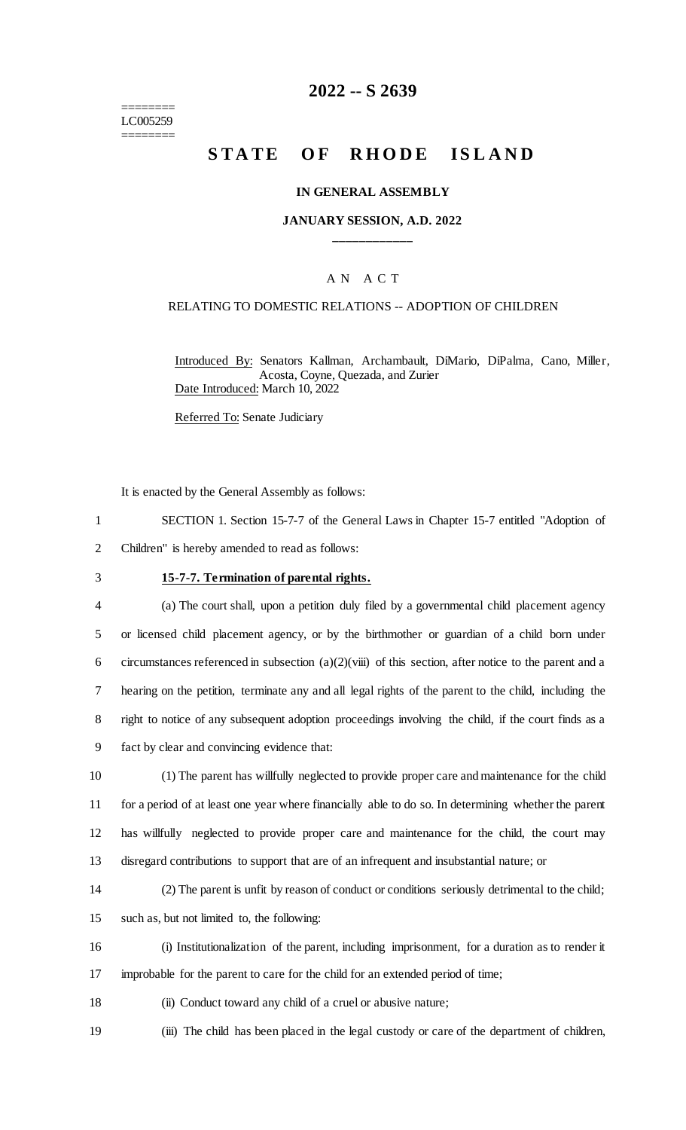======== LC005259 ========

# **2022 -- S 2639**

# **STATE OF RHODE ISLAND**

#### **IN GENERAL ASSEMBLY**

## **JANUARY SESSION, A.D. 2022 \_\_\_\_\_\_\_\_\_\_\_\_**

## A N A C T

#### RELATING TO DOMESTIC RELATIONS -- ADOPTION OF CHILDREN

Introduced By: Senators Kallman, Archambault, DiMario, DiPalma, Cano, Miller, Acosta, Coyne, Quezada, and Zurier Date Introduced: March 10, 2022

Referred To: Senate Judiciary

It is enacted by the General Assembly as follows:

- 1 SECTION 1. Section 15-7-7 of the General Laws in Chapter 15-7 entitled "Adoption of
- 2 Children" is hereby amended to read as follows:
- 

# 3 **15-7-7. Termination of parental rights.**

 (a) The court shall, upon a petition duly filed by a governmental child placement agency or licensed child placement agency, or by the birthmother or guardian of a child born under 6 circumstances referenced in subsection  $(a)(2)(viii)$  of this section, after notice to the parent and a hearing on the petition, terminate any and all legal rights of the parent to the child, including the right to notice of any subsequent adoption proceedings involving the child, if the court finds as a fact by clear and convincing evidence that:

 (1) The parent has willfully neglected to provide proper care and maintenance for the child for a period of at least one year where financially able to do so. In determining whether the parent has willfully neglected to provide proper care and maintenance for the child, the court may disregard contributions to support that are of an infrequent and insubstantial nature; or

14 (2) The parent is unfit by reason of conduct or conditions seriously detrimental to the child;

15 such as, but not limited to, the following:

16 (i) Institutionalization of the parent, including imprisonment, for a duration as to render it 17 improbable for the parent to care for the child for an extended period of time;

- 18 (ii) Conduct toward any child of a cruel or abusive nature;
- 19 (iii) The child has been placed in the legal custody or care of the department of children,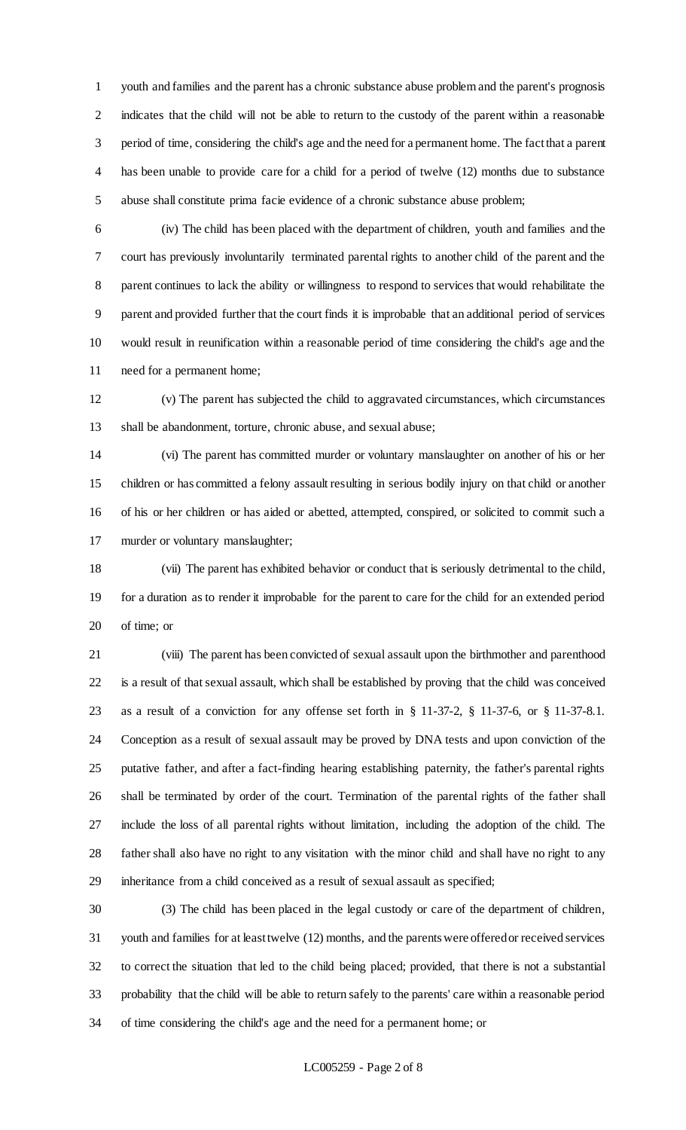youth and families and the parent has a chronic substance abuse problem and the parent's prognosis 2 indicates that the child will not be able to return to the custody of the parent within a reasonable period of time, considering the child's age and the need for a permanent home. The fact that a parent has been unable to provide care for a child for a period of twelve (12) months due to substance abuse shall constitute prima facie evidence of a chronic substance abuse problem;

 (iv) The child has been placed with the department of children, youth and families and the court has previously involuntarily terminated parental rights to another child of the parent and the parent continues to lack the ability or willingness to respond to services that would rehabilitate the parent and provided further that the court finds it is improbable that an additional period of services would result in reunification within a reasonable period of time considering the child's age and the need for a permanent home;

 (v) The parent has subjected the child to aggravated circumstances, which circumstances shall be abandonment, torture, chronic abuse, and sexual abuse;

 (vi) The parent has committed murder or voluntary manslaughter on another of his or her children or has committed a felony assault resulting in serious bodily injury on that child or another of his or her children or has aided or abetted, attempted, conspired, or solicited to commit such a murder or voluntary manslaughter;

 (vii) The parent has exhibited behavior or conduct that is seriously detrimental to the child, for a duration as to render it improbable for the parent to care for the child for an extended period of time; or

 (viii) The parent has been convicted of sexual assault upon the birthmother and parenthood is a result of that sexual assault, which shall be established by proving that the child was conceived as a result of a conviction for any offense set forth in § 11-37-2, § 11-37-6, or § 11-37-8.1. Conception as a result of sexual assault may be proved by DNA tests and upon conviction of the putative father, and after a fact-finding hearing establishing paternity, the father's parental rights shall be terminated by order of the court. Termination of the parental rights of the father shall include the loss of all parental rights without limitation, including the adoption of the child. The father shall also have no right to any visitation with the minor child and shall have no right to any inheritance from a child conceived as a result of sexual assault as specified;

 (3) The child has been placed in the legal custody or care of the department of children, youth and families for at least twelve (12) months, and the parents were offered or received services to correct the situation that led to the child being placed; provided, that there is not a substantial probability that the child will be able to return safely to the parents' care within a reasonable period of time considering the child's age and the need for a permanent home; or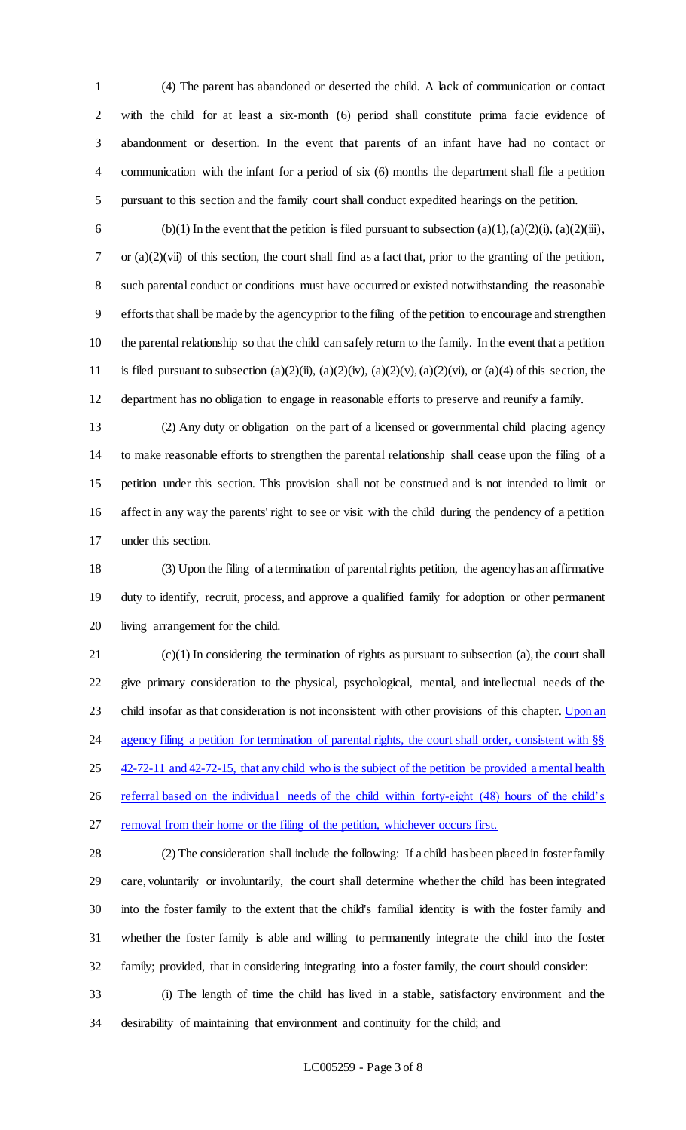(4) The parent has abandoned or deserted the child. A lack of communication or contact with the child for at least a six-month (6) period shall constitute prima facie evidence of abandonment or desertion. In the event that parents of an infant have had no contact or communication with the infant for a period of six (6) months the department shall file a petition pursuant to this section and the family court shall conduct expedited hearings on the petition.

6 (b)(1) In the event that the petition is filed pursuant to subsection  $(a)(1), (a)(2)(i), (a)(2)(iii)$ , or (a)(2)(vii) of this section, the court shall find as a fact that, prior to the granting of the petition, 8 such parental conduct or conditions must have occurred or existed notwithstanding the reasonable efforts that shall be made by the agency prior to the filing of the petition to encourage and strengthen the parental relationship so that the child can safely return to the family. In the event that a petition 11 is filed pursuant to subsection (a)(2)(ii), (a)(2)(iv), (a)(2)(v), (a)(2)(vi), or (a)(4) of this section, the department has no obligation to engage in reasonable efforts to preserve and reunify a family.

 (2) Any duty or obligation on the part of a licensed or governmental child placing agency to make reasonable efforts to strengthen the parental relationship shall cease upon the filing of a petition under this section. This provision shall not be construed and is not intended to limit or affect in any way the parents' right to see or visit with the child during the pendency of a petition under this section.

 (3) Upon the filing of a termination of parental rights petition, the agency has an affirmative duty to identify, recruit, process, and approve a qualified family for adoption or other permanent living arrangement for the child.

 (c)(1) In considering the termination of rights as pursuant to subsection (a), the court shall give primary consideration to the physical, psychological, mental, and intellectual needs of the 23 child insofar as that consideration is not inconsistent with other provisions of this chapter. Upon an 24 agency filing a petition for termination of parental rights, the court shall order, consistent with §§ 25 42-72-11 and 42-72-15, that any child who is the subject of the petition be provided a mental health 26 referral based on the individual needs of the child within forty-eight (48) hours of the child's removal from their home or the filing of the petition, whichever occurs first.

 (2) The consideration shall include the following: If a child has been placed in foster family care, voluntarily or involuntarily, the court shall determine whether the child has been integrated into the foster family to the extent that the child's familial identity is with the foster family and whether the foster family is able and willing to permanently integrate the child into the foster family; provided, that in considering integrating into a foster family, the court should consider:

 (i) The length of time the child has lived in a stable, satisfactory environment and the desirability of maintaining that environment and continuity for the child; and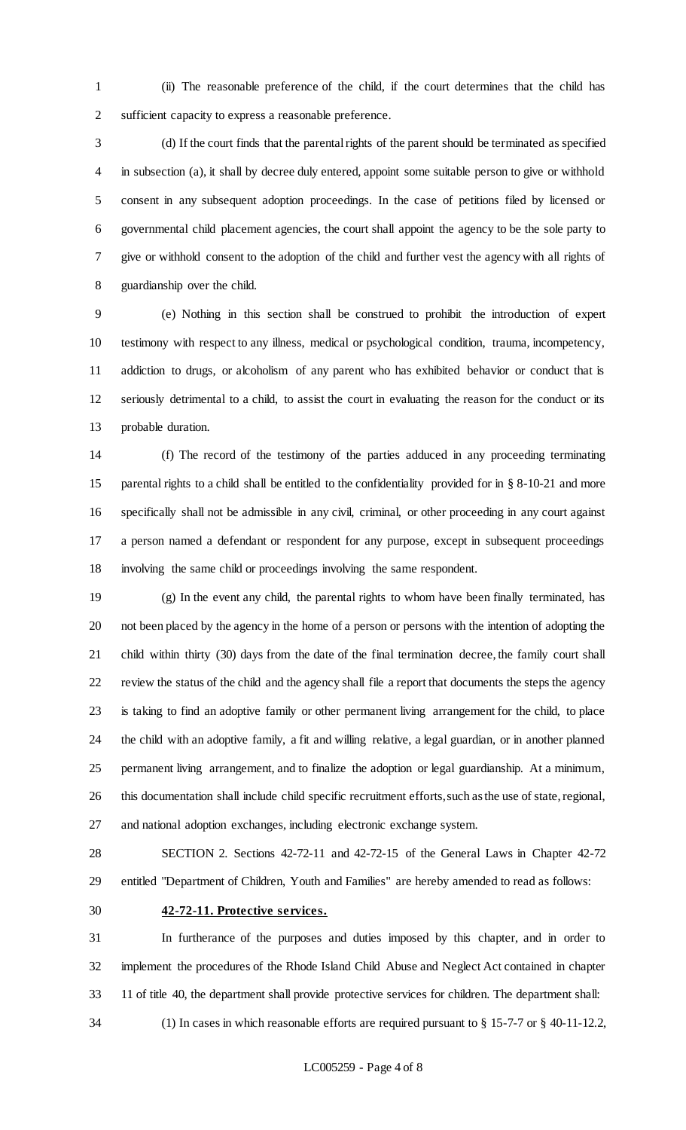(ii) The reasonable preference of the child, if the court determines that the child has sufficient capacity to express a reasonable preference.

 (d) If the court finds that the parental rights of the parent should be terminated as specified in subsection (a), it shall by decree duly entered, appoint some suitable person to give or withhold consent in any subsequent adoption proceedings. In the case of petitions filed by licensed or governmental child placement agencies, the court shall appoint the agency to be the sole party to give or withhold consent to the adoption of the child and further vest the agency with all rights of guardianship over the child.

 (e) Nothing in this section shall be construed to prohibit the introduction of expert testimony with respect to any illness, medical or psychological condition, trauma, incompetency, addiction to drugs, or alcoholism of any parent who has exhibited behavior or conduct that is seriously detrimental to a child, to assist the court in evaluating the reason for the conduct or its probable duration.

 (f) The record of the testimony of the parties adduced in any proceeding terminating parental rights to a child shall be entitled to the confidentiality provided for in § 8-10-21 and more specifically shall not be admissible in any civil, criminal, or other proceeding in any court against a person named a defendant or respondent for any purpose, except in subsequent proceedings involving the same child or proceedings involving the same respondent.

 (g) In the event any child, the parental rights to whom have been finally terminated, has not been placed by the agency in the home of a person or persons with the intention of adopting the child within thirty (30) days from the date of the final termination decree, the family court shall review the status of the child and the agency shall file a report that documents the steps the agency is taking to find an adoptive family or other permanent living arrangement for the child, to place the child with an adoptive family, a fit and willing relative, a legal guardian, or in another planned permanent living arrangement, and to finalize the adoption or legal guardianship. At a minimum, this documentation shall include child specific recruitment efforts, such as the use of state, regional, and national adoption exchanges, including electronic exchange system.

 SECTION 2. Sections 42-72-11 and 42-72-15 of the General Laws in Chapter 42-72 entitled "Department of Children, Youth and Families" are hereby amended to read as follows:

#### **42-72-11. Protective services.**

 In furtherance of the purposes and duties imposed by this chapter, and in order to implement the procedures of the Rhode Island Child Abuse and Neglect Act contained in chapter 11 of title 40, the department shall provide protective services for children. The department shall: (1) In cases in which reasonable efforts are required pursuant to § 15-7-7 or § 40-11-12.2,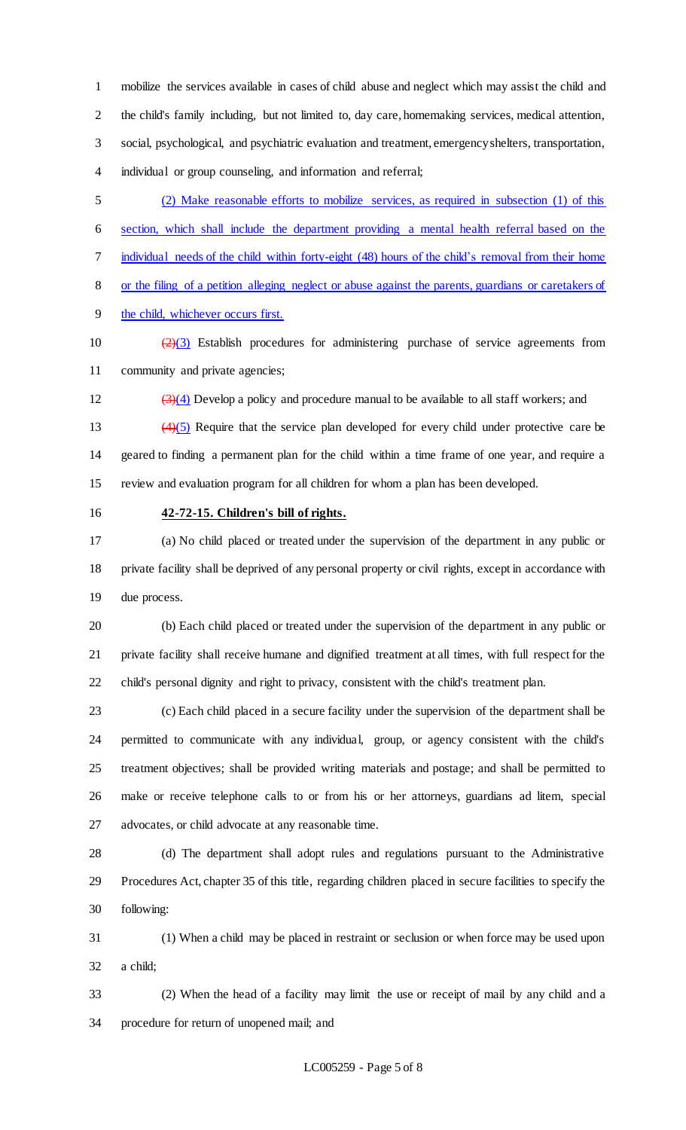mobilize the services available in cases of child abuse and neglect which may assist the child and the child's family including, but not limited to, day care, homemaking services, medical attention, social, psychological, and psychiatric evaluation and treatment, emergency shelters, transportation, individual or group counseling, and information and referral;

 (2) Make reasonable efforts to mobilize services, as required in subsection (1) of this section, which shall include the department providing a mental health referral based on the individual needs of the child within forty-eight (48) hours of the child's removal from their home or the filing of a petition alleging neglect or abuse against the parents, guardians or caretakers of the child, whichever occurs first.

10  $\left(\frac{2}{3}\right)$  Establish procedures for administering purchase of service agreements from community and private agencies;

12  $(3)(4)$  Develop a policy and procedure manual to be available to all staff workers; and

13  $(4)(5)$  Require that the service plan developed for every child under protective care be geared to finding a permanent plan for the child within a time frame of one year, and require a review and evaluation program for all children for whom a plan has been developed.

#### **42-72-15. Children's bill of rights.**

 (a) No child placed or treated under the supervision of the department in any public or private facility shall be deprived of any personal property or civil rights, except in accordance with due process.

 (b) Each child placed or treated under the supervision of the department in any public or private facility shall receive humane and dignified treatment at all times, with full respect for the child's personal dignity and right to privacy, consistent with the child's treatment plan.

 (c) Each child placed in a secure facility under the supervision of the department shall be permitted to communicate with any individual, group, or agency consistent with the child's treatment objectives; shall be provided writing materials and postage; and shall be permitted to make or receive telephone calls to or from his or her attorneys, guardians ad litem, special advocates, or child advocate at any reasonable time.

 (d) The department shall adopt rules and regulations pursuant to the Administrative Procedures Act, chapter 35 of this title, regarding children placed in secure facilities to specify the following:

 (1) When a child may be placed in restraint or seclusion or when force may be used upon a child;

 (2) When the head of a facility may limit the use or receipt of mail by any child and a procedure for return of unopened mail; and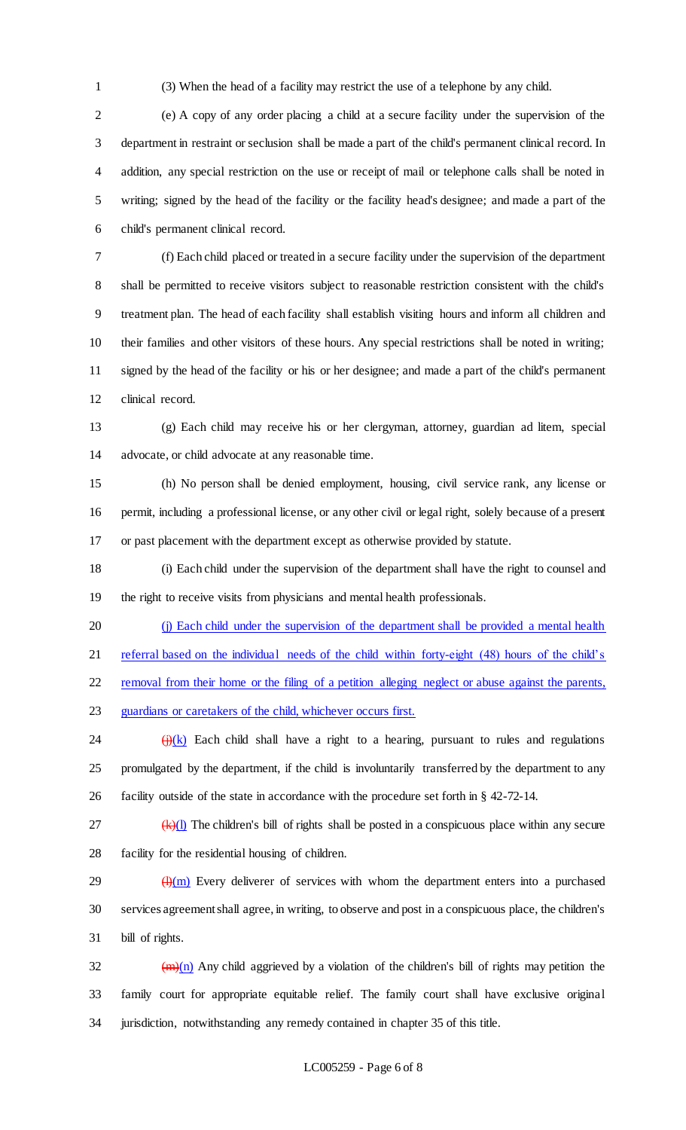(3) When the head of a facility may restrict the use of a telephone by any child.

 (e) A copy of any order placing a child at a secure facility under the supervision of the department in restraint or seclusion shall be made a part of the child's permanent clinical record. In addition, any special restriction on the use or receipt of mail or telephone calls shall be noted in writing; signed by the head of the facility or the facility head's designee; and made a part of the child's permanent clinical record.

 (f) Each child placed or treated in a secure facility under the supervision of the department shall be permitted to receive visitors subject to reasonable restriction consistent with the child's treatment plan. The head of each facility shall establish visiting hours and inform all children and their families and other visitors of these hours. Any special restrictions shall be noted in writing; signed by the head of the facility or his or her designee; and made a part of the child's permanent clinical record.

 (g) Each child may receive his or her clergyman, attorney, guardian ad litem, special advocate, or child advocate at any reasonable time.

 (h) No person shall be denied employment, housing, civil service rank, any license or permit, including a professional license, or any other civil or legal right, solely because of a present or past placement with the department except as otherwise provided by statute.

 (i) Each child under the supervision of the department shall have the right to counsel and the right to receive visits from physicians and mental health professionals.

 (j) Each child under the supervision of the department shall be provided a mental health 21 referral based on the individual needs of the child within forty-eight (48) hours of the child's

22 removal from their home or the filing of a petition alleging neglect or abuse against the parents, guardians or caretakers of the child, whichever occurs first.

24  $\frac{f(x)}{g(x)}$  Each child shall have a right to a hearing, pursuant to rules and regulations promulgated by the department, if the child is involuntarily transferred by the department to any facility outside of the state in accordance with the procedure set forth in § 42-72-14.

 $\frac{1}{27}$  (k)(1) The children's bill of rights shall be posted in a conspicuous place within any secure facility for the residential housing of children.

 $\frac{1}{29}$  (H)(m) Every deliverer of services with whom the department enters into a purchased services agreement shall agree, in writing, to observe and post in a conspicuous place, the children's bill of rights.

32  $(m)(n)$  Any child aggrieved by a violation of the children's bill of rights may petition the family court for appropriate equitable relief. The family court shall have exclusive original jurisdiction, notwithstanding any remedy contained in chapter 35 of this title.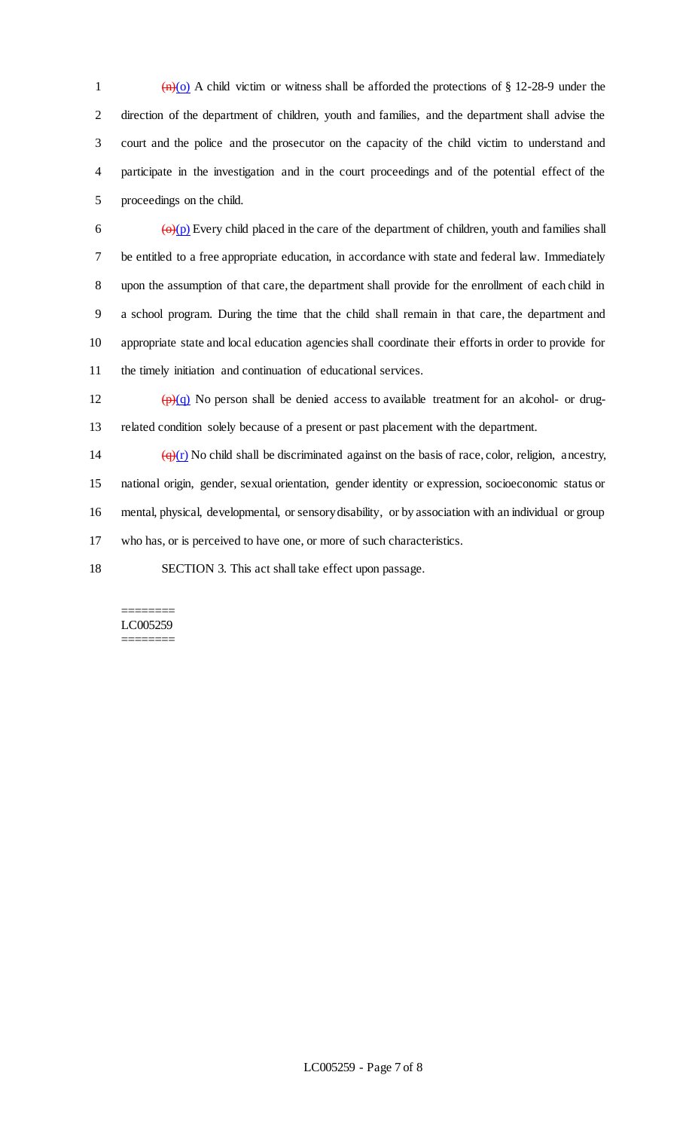$(m)(o)$  A child victim or witness shall be afforded the protections of § 12-28-9 under the direction of the department of children, youth and families, and the department shall advise the court and the police and the prosecutor on the capacity of the child victim to understand and participate in the investigation and in the court proceedings and of the potential effect of the proceedings on the child.

 $\overline{\Theta}$  ( $\Theta$ )(p) Every child placed in the care of the department of children, youth and families shall be entitled to a free appropriate education, in accordance with state and federal law. Immediately upon the assumption of that care, the department shall provide for the enrollment of each child in a school program. During the time that the child shall remain in that care, the department and appropriate state and local education agencies shall coordinate their efforts in order to provide for the timely initiation and continuation of educational services.

12  $\left(\frac{p}{q}\right)$  No person shall be denied access to available treatment for an alcohol- or drug-related condition solely because of a present or past placement with the department.

 $\left(\frac{q}{r}\right)$  No child shall be discriminated against on the basis of race, color, religion, ancestry, national origin, gender, sexual orientation, gender identity or expression, socioeconomic status or mental, physical, developmental, or sensory disability, or by association with an individual or group who has, or is perceived to have one, or more of such characteristics.

SECTION 3. This act shall take effect upon passage.

#### ======== LC005259 ========